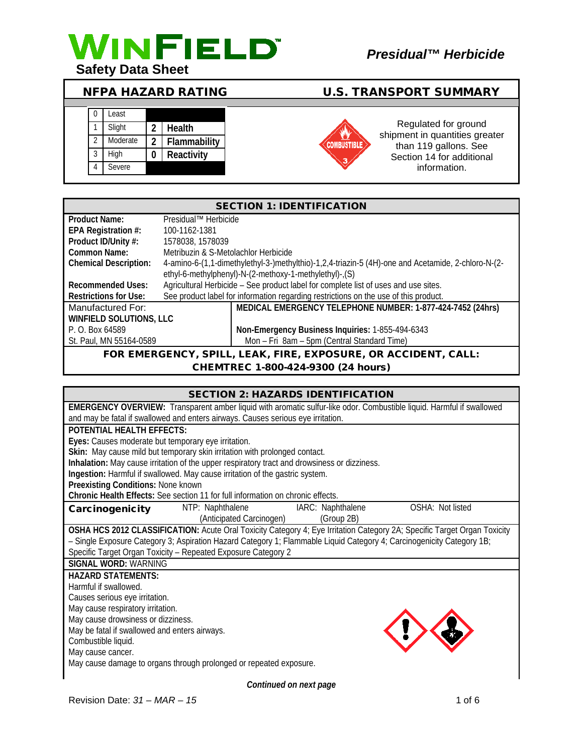

## NFPA HAZARD RATING U.S. TRANSPORT SUMMARY

| 0              | Least    |   |              |
|----------------|----------|---|--------------|
|                | Slight   | 2 | Health       |
| $\mathfrak{D}$ | Moderate | 2 | Flammability |
| 3              | High     | 0 | Reactivity   |
|                | Severe   |   |              |
|                |          |   |              |



Regulated for ground shipment in quantities greater than 119 gallons. See Section 14 for additional information.

| <b>SECTION 1: IDENTIFICATION</b>                                                                                     |                      |                                                                                                    |  |
|----------------------------------------------------------------------------------------------------------------------|----------------------|----------------------------------------------------------------------------------------------------|--|
| Product Name:                                                                                                        | Presidual™ Herbicide |                                                                                                    |  |
| EPA Registration #:                                                                                                  | 100-1162-1381        |                                                                                                    |  |
| Product ID/Unity #:                                                                                                  | 1578038, 1578039     |                                                                                                    |  |
| Common Name:<br>Metribuzin & S-Metolachlor Herbicide                                                                 |                      |                                                                                                    |  |
| <b>Chemical Description:</b>                                                                                         |                      | 4-amino-6-(1,1-dimethylethyl-3-)methylthio)-1,2,4-triazin-5 (4H)-one and Acetamide, 2-chloro-N-(2- |  |
|                                                                                                                      |                      | ethyl-6-methylphenyl)-N-(2-methoxy-1-methylethyl)-,(S)                                             |  |
| Agricultural Herbicide - See product label for complete list of uses and use sites.<br><b>Recommended Uses:</b>      |                      |                                                                                                    |  |
| See product label for information regarding restrictions on the use of this product.<br><b>Restrictions for Use:</b> |                      |                                                                                                    |  |
| Manufactured For:                                                                                                    |                      | MEDICAL EMERGENCY TELEPHONE NUMBER: 1-877-424-7452 (24hrs)                                         |  |
| <b>WINFIELD SOLUTIONS, LLC</b>                                                                                       |                      |                                                                                                    |  |
| P. O. Box 64589                                                                                                      |                      | Non-Emergency Business Inquiries: 1-855-494-6343                                                   |  |
| St. Paul, MN 55164-0589                                                                                              |                      | Mon - Fri 8am - 5pm (Central Standard Time)                                                        |  |
| FOR EMERGENCY, SPILL, LEAK, FIRE, EXPOSURE, OR ACCIDENT, CALL:                                                       |                      |                                                                                                    |  |

### CHEMTREC 1-800-424-9300 (24 hours)

| <b>SECTION 2: HAZARDS IDENTIFICATION</b>                                                                                 |  |  |  |
|--------------------------------------------------------------------------------------------------------------------------|--|--|--|
| EMERGENCY OVERVIEW: Transparent amber liquid with aromatic sulfur-like odor. Combustible liquid. Harmful if swallowed    |  |  |  |
| and may be fatal if swallowed and enters airways. Causes serious eye irritation.                                         |  |  |  |
| <b>POTENTIAL HEALTH EFFECTS:</b>                                                                                         |  |  |  |
| Eyes: Causes moderate but temporary eye irritation.                                                                      |  |  |  |
| Skin: May cause mild but temporary skin irritation with prolonged contact.                                               |  |  |  |
| Inhalation: May cause irritation of the upper respiratory tract and drowsiness or dizziness.                             |  |  |  |
| Ingestion: Harmful if swallowed. May cause irritation of the gastric system.                                             |  |  |  |
| Preexisting Conditions: None known                                                                                       |  |  |  |
| Chronic Health Effects: See section 11 for full information on chronic effects.                                          |  |  |  |
| OSHA: Not listed<br>NTP: Naphthalene<br>IARC: Naphthalene<br>Carcinogenicity                                             |  |  |  |
| (Anticipated Carcinogen)<br>(Group 2B)                                                                                   |  |  |  |
| OSHA HCS 2012 CLASSIFICATION: Acute Oral Toxicity Category 4; Eye Irritation Category 2A; Specific Target Organ Toxicity |  |  |  |
| - Single Exposure Category 3; Aspiration Hazard Category 1; Flammable Liquid Category 4; Carcinogenicity Category 1B;    |  |  |  |
| Specific Target Organ Toxicity - Repeated Exposure Category 2                                                            |  |  |  |
| <b>SIGNAL WORD: WARNING</b>                                                                                              |  |  |  |
| <b>HAZARD STATEMENTS:</b>                                                                                                |  |  |  |
| Harmful if swallowed.                                                                                                    |  |  |  |
| Causes serious eye irritation.                                                                                           |  |  |  |
| May cause respiratory irritation.                                                                                        |  |  |  |
| May cause drowsiness or dizziness.                                                                                       |  |  |  |
| May be fatal if swallowed and enters airways.                                                                            |  |  |  |
| Combustible liquid.                                                                                                      |  |  |  |
| May cause cancer.                                                                                                        |  |  |  |
| May cause damage to organs through prolonged or repeated exposure.                                                       |  |  |  |

*Continued on next page*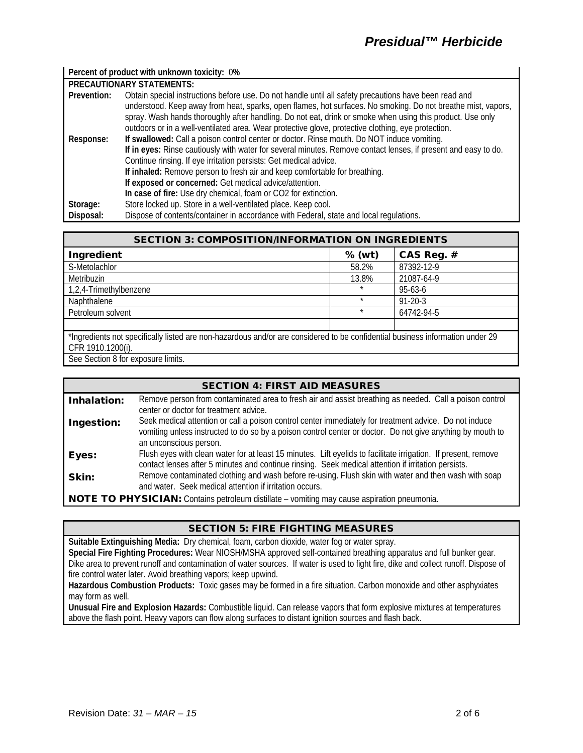### **Percent of product with unknown toxicity:** 0**%**

| <b>PRECAUTIONARY STATEMENTS:</b> |                                                                                                                |  |  |  |
|----------------------------------|----------------------------------------------------------------------------------------------------------------|--|--|--|
| Prevention:                      | Obtain special instructions before use. Do not handle until all safety precautions have been read and          |  |  |  |
|                                  | understood. Keep away from heat, sparks, open flames, hot surfaces. No smoking. Do not breathe mist, vapors,   |  |  |  |
|                                  | spray. Wash hands thoroughly after handling. Do not eat, drink or smoke when using this product. Use only      |  |  |  |
|                                  | outdoors or in a well-ventilated area. Wear protective glove, protective clothing, eye protection.             |  |  |  |
| Response:                        | If swallowed: Call a poison control center or doctor. Rinse mouth. Do NOT induce vomiting.                     |  |  |  |
|                                  | If in eyes: Rinse cautiously with water for several minutes. Remove contact lenses, if present and easy to do. |  |  |  |
|                                  | Continue rinsing. If eye irritation persists: Get medical advice.                                              |  |  |  |
|                                  | If inhaled: Remove person to fresh air and keep comfortable for breathing.                                     |  |  |  |
|                                  | If exposed or concerned: Get medical advice/attention.                                                         |  |  |  |
|                                  | In case of fire: Use dry chemical, foam or CO2 for extinction.                                                 |  |  |  |
| Storage:                         | Store locked up. Store in a well-ventilated place. Keep cool.                                                  |  |  |  |
| Disposal:                        | Dispose of contents/container in accordance with Federal, state and local regulations.                         |  |  |  |

| <b>SECTION 3: COMPOSITION/INFORMATION ON INGREDIENTS</b>                                                                      |          |               |  |  |
|-------------------------------------------------------------------------------------------------------------------------------|----------|---------------|--|--|
| Ingredient                                                                                                                    | $%$ (wt) | CAS Reg. #    |  |  |
| S-Metolachlor                                                                                                                 | 58.2%    | 87392-12-9    |  |  |
| Metribuzin                                                                                                                    | 13.8%    | 21087-64-9    |  |  |
| 1,2,4-Trimethylbenzene                                                                                                        |          | 95-63-6       |  |  |
| Naphthalene                                                                                                                   | $\star$  | $91 - 20 - 3$ |  |  |
| Petroleum solvent                                                                                                             | $\star$  | 64742-94-5    |  |  |
|                                                                                                                               |          |               |  |  |
| *Ingredients not specifically listed are non-hazardous and/or are considered to be confidential business information under 29 |          |               |  |  |
| CFR 1910.1200(i).                                                                                                             |          |               |  |  |
| See Section 8 for exposure limits.                                                                                            |          |               |  |  |

| <b>SECTION 4: FIRST AID MEASURES</b>                                                               |                                                                                                                                                                                                                                                |  |
|----------------------------------------------------------------------------------------------------|------------------------------------------------------------------------------------------------------------------------------------------------------------------------------------------------------------------------------------------------|--|
| Inhalation:                                                                                        | Remove person from contaminated area to fresh air and assist breathing as needed. Call a poison control<br>center or doctor for treatment advice.                                                                                              |  |
| Ingestion:                                                                                         | Seek medical attention or call a poison control center immediately for treatment advice. Do not induce<br>vomiting unless instructed to do so by a poison control center or doctor. Do not give anything by mouth to<br>an unconscious person. |  |
| Eyes:                                                                                              | Flush eyes with clean water for at least 15 minutes. Lift eyelids to facilitate irrigation. If present, remove<br>contact lenses after 5 minutes and continue rinsing. Seek medical attention if irritation persists.                          |  |
| Skin:                                                                                              | Remove contaminated clothing and wash before re-using. Flush skin with water and then wash with soap<br>and water. Seek medical attention if irritation occurs.                                                                                |  |
| <b>NOTE TO PHYSICIAN:</b> Contains petroleum distillate - vomiting may cause aspiration pneumonia. |                                                                                                                                                                                                                                                |  |

### SECTION 5: FIRE FIGHTING MEASURES

**Suitable Extinguishing Media:** Dry chemical, foam, carbon dioxide, water fog or water spray. **Special Fire Fighting Procedures:** Wear NIOSH/MSHA approved self-contained breathing apparatus and full bunker gear. Dike area to prevent runoff and contamination of water sources. If water is used to fight fire, dike and collect runoff. Dispose of fire control water later. Avoid breathing vapors; keep upwind.

**Hazardous Combustion Products:** Toxic gases may be formed in a fire situation. Carbon monoxide and other asphyxiates may form as well.

**Unusual Fire and Explosion Hazards:** Combustible liquid. Can release vapors that form explosive mixtures at temperatures above the flash point. Heavy vapors can flow along surfaces to distant ignition sources and flash back.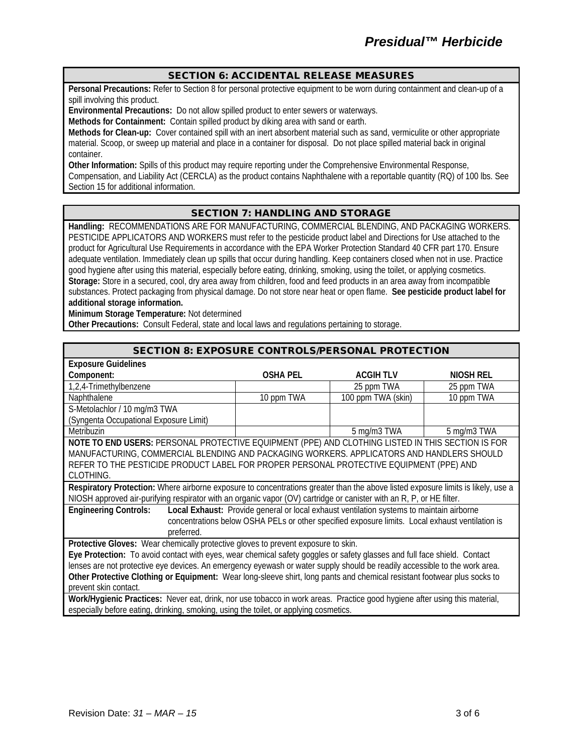### SECTION 6: ACCIDENTAL RELEASE MEASURES

**Personal Precautions:** Refer to Section 8 for personal protective equipment to be worn during containment and clean-up of a spill involving this product.

**Environmental Precautions:** Do not allow spilled product to enter sewers or waterways.

**Methods for Containment:** Contain spilled product by diking area with sand or earth.

**Methods for Clean-up:** Cover contained spill with an inert absorbent material such as sand, vermiculite or other appropriate material. Scoop, or sweep up material and place in a container for disposal. Do not place spilled material back in original container.

**Other Information:** Spills of this product may require reporting under the Comprehensive Environmental Response, Compensation, and Liability Act (CERCLA) as the product contains Naphthalene with a reportable quantity (RQ) of 100 lbs. See Section 15 for additional information.

### SECTION 7: HANDLING AND STORAGE

**Handling:** RECOMMENDATIONS ARE FOR MANUFACTURING, COMMERCIAL BLENDING, AND PACKAGING WORKERS. PESTICIDE APPLICATORS AND WORKERS must refer to the pesticide product label and Directions for Use attached to the product for Agricultural Use Requirements in accordance with the EPA Worker Protection Standard 40 CFR part 170. Ensure adequate ventilation. Immediately clean up spills that occur during handling. Keep containers closed when not in use. Practice good hygiene after using this material, especially before eating, drinking, smoking, using the toilet, or applying cosmetics. **Storage:** Store in a secured, cool, dry area away from children, food and feed products in an area away from incompatible substances. Protect packaging from physical damage. Do not store near heat or open flame. **See pesticide product label for additional storage information.**

**Minimum Storage Temperature:** Not determined

**Other Precautions:** Consult Federal, state and local laws and regulations pertaining to storage.

| <b>SECTION 8: EXPOSURE CONTROLS/PERSONAL PROTECTION</b>                                                                          |                 |                    |                  |  |
|----------------------------------------------------------------------------------------------------------------------------------|-----------------|--------------------|------------------|--|
| <b>Exposure Guidelines</b>                                                                                                       |                 |                    |                  |  |
| Component:                                                                                                                       | <b>OSHA PEL</b> | <b>ACGIHTLV</b>    | <b>NIOSH REL</b> |  |
| 1,2,4-Trimethylbenzene                                                                                                           |                 | 25 ppm TWA         | 25 ppm TWA       |  |
| Naphthalene                                                                                                                      | 10 ppm TWA      | 100 ppm TWA (skin) | 10 ppm TWA       |  |
| S-Metolachlor / 10 mg/m3 TWA                                                                                                     |                 |                    |                  |  |
| (Syngenta Occupational Exposure Limit)                                                                                           |                 |                    |                  |  |
| <b>Metribuzin</b>                                                                                                                |                 | 5 mg/m3 TWA        | 5 mg/m3 TWA      |  |
| NOTE TO END USERS: PERSONAL PROTECTIVE EQUIPMENT (PPE) AND CLOTHING LISTED IN THIS SECTION IS FOR                                |                 |                    |                  |  |
| MANUFACTURING, COMMERCIAL BLENDING AND PACKAGING WORKERS. APPLICATORS AND HANDLERS SHOULD                                        |                 |                    |                  |  |
| REFER TO THE PESTICIDE PRODUCT LABEL FOR PROPER PERSONAL PROTECTIVE EQUIPMENT (PPE) AND                                          |                 |                    |                  |  |
| CLOTHING.                                                                                                                        |                 |                    |                  |  |
| Respiratory Protection: Where airborne exposure to concentrations greater than the above listed exposure limits is likely, use a |                 |                    |                  |  |
| NIOSH approved air-purifying respirator with an organic vapor (OV) cartridge or canister with an R, P, or HE filter.             |                 |                    |                  |  |
| Local Exhaust: Provide general or local exhaust ventilation systems to maintain airborne<br><b>Engineering Controls:</b>         |                 |                    |                  |  |
| concentrations below OSHA PELs or other specified exposure limits. Local exhaust ventilation is                                  |                 |                    |                  |  |
| preferred.                                                                                                                       |                 |                    |                  |  |
| Protective Gloves: Wear chemically protective gloves to prevent exposure to skin.                                                |                 |                    |                  |  |
| Eye Protection: To avoid contact with eyes, wear chemical safety goggles or safety glasses and full face shield. Contact         |                 |                    |                  |  |
| lenses are not protective eye devices. An emergency eyewash or water supply should be readily accessible to the work area.       |                 |                    |                  |  |
| Other Protective Clothing or Equipment: Wear long-sleeve shirt, long pants and chemical resistant footwear plus socks to         |                 |                    |                  |  |
| prevent skin contact.                                                                                                            |                 |                    |                  |  |
| Work/Hygienic Practices: Never eat, drink, nor use tobacco in work areas. Practice good hygiene after using this material,       |                 |                    |                  |  |
| especially before eating, drinking, smoking, using the toilet, or applying cosmetics.                                            |                 |                    |                  |  |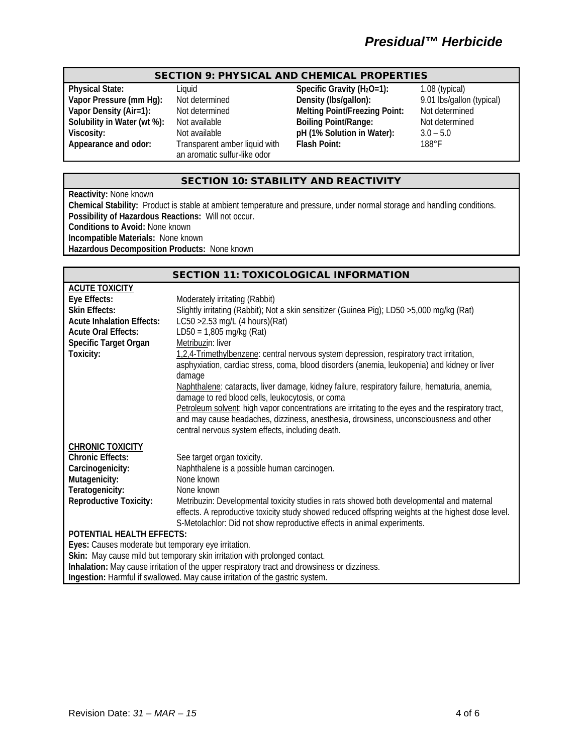# *Presidual™ Herbicide*

### SECTION 9: PHYSICAL AND CHEMICAL PROPERTIES

**Transparent amber liquid with** an aromatic sulfur-like odor

**Physical State:** Liquid Liquid **Specific Gravity (H<sub>2</sub>O=1):** 1.08 (typical)<br> **Vapor Pressure (mm Hg):** Not determined **Density (Ibs/gallon):** 9.01 lbs/gallon (typical) **Vapor Pressure (mm Hg):** Not determined **Density (Ibs/gallon):** 9.01 lbs/gallon (<br> **Vapor Density (Air=1):** Not determined Melting Point/Freezing Point: Not determined **Melting Point/Freezing Point:**<br>Boiling Point/Range: **Solubility in Water (wt %):** Not available **Boiling Point/Range:** Not determined Viscosity: Not available **pH** (1% Solution in Water): 3.0 – 5.0<br>Appearance and odor: Transparent amber liquid with Flash Point: 188°F **Flash Point:** 

### SECTION 10: STABILITY AND REACTIVITY

**Reactivity:** None known

**Chemical Stability:** Product is stable at ambient temperature and pressure, under normal storage and handling conditions. **Possibility of Hazardous Reactions:** Will not occur. **Conditions to Avoid:** None known

**Incompatible Materials:** None known

**Hazardous Decomposition Products:** None known

### SECTION 11: TOXICOLOGICAL INFORMATION

| <b>ACUTE TOXICITY</b>                                                                        |                                                                                                                                                                                                                                                                            |  |  |
|----------------------------------------------------------------------------------------------|----------------------------------------------------------------------------------------------------------------------------------------------------------------------------------------------------------------------------------------------------------------------------|--|--|
| Eye Effects:                                                                                 | Moderately irritating (Rabbit)                                                                                                                                                                                                                                             |  |  |
| <b>Skin Effects:</b>                                                                         | Slightly irritating (Rabbit); Not a skin sensitizer (Guinea Pig); LD50 >5,000 mg/kg (Rat)                                                                                                                                                                                  |  |  |
| <b>Acute Inhalation Effects:</b>                                                             | LC50 > 2.53 mg/L $(4 \text{ hours})(\text{Rat})$                                                                                                                                                                                                                           |  |  |
| <b>Acute Oral Effects:</b>                                                                   | $LD50 = 1,805$ mg/kg (Rat)                                                                                                                                                                                                                                                 |  |  |
| <b>Specific Target Organ</b>                                                                 | Metribuzin: liver                                                                                                                                                                                                                                                          |  |  |
| Toxicity:                                                                                    | 1,2,4-Trimethylbenzene: central nervous system depression, respiratory tract irritation,<br>asphyxiation, cardiac stress, coma, blood disorders (anemia, leukopenia) and kidney or liver<br>damage                                                                         |  |  |
|                                                                                              | Naphthalene: cataracts, liver damage, kidney failure, respiratory failure, hematuria, anemia,<br>damage to red blood cells, leukocytosis, or coma                                                                                                                          |  |  |
|                                                                                              | Petroleum solvent: high vapor concentrations are irritating to the eyes and the respiratory tract,<br>and may cause headaches, dizziness, anesthesia, drowsiness, unconsciousness and other<br>central nervous system effects, including death.                            |  |  |
| <b>CHRONIC TOXICITY</b>                                                                      |                                                                                                                                                                                                                                                                            |  |  |
| <b>Chronic Effects:</b>                                                                      | See target organ toxicity.                                                                                                                                                                                                                                                 |  |  |
| Carcinogenicity:                                                                             | Naphthalene is a possible human carcinogen.                                                                                                                                                                                                                                |  |  |
| Mutagenicity:                                                                                | None known                                                                                                                                                                                                                                                                 |  |  |
| Teratogenicity:                                                                              | None known                                                                                                                                                                                                                                                                 |  |  |
| <b>Reproductive Toxicity:</b>                                                                | Metribuzin: Developmental toxicity studies in rats showed both developmental and maternal<br>effects. A reproductive toxicity study showed reduced offspring weights at the highest dose level.<br>S-Metolachlor: Did not show reproductive effects in animal experiments. |  |  |
| <b>POTENTIAL HEALTH EFFECTS:</b>                                                             |                                                                                                                                                                                                                                                                            |  |  |
| Eyes: Causes moderate but temporary eye irritation.                                          |                                                                                                                                                                                                                                                                            |  |  |
| Skin: May cause mild but temporary skin irritation with prolonged contact.                   |                                                                                                                                                                                                                                                                            |  |  |
| Inhalation: May cause irritation of the upper respiratory tract and drowsiness or dizziness. |                                                                                                                                                                                                                                                                            |  |  |
|                                                                                              | Ingestion: Harmful if swallowed. May cause irritation of the gastric system.                                                                                                                                                                                               |  |  |
|                                                                                              |                                                                                                                                                                                                                                                                            |  |  |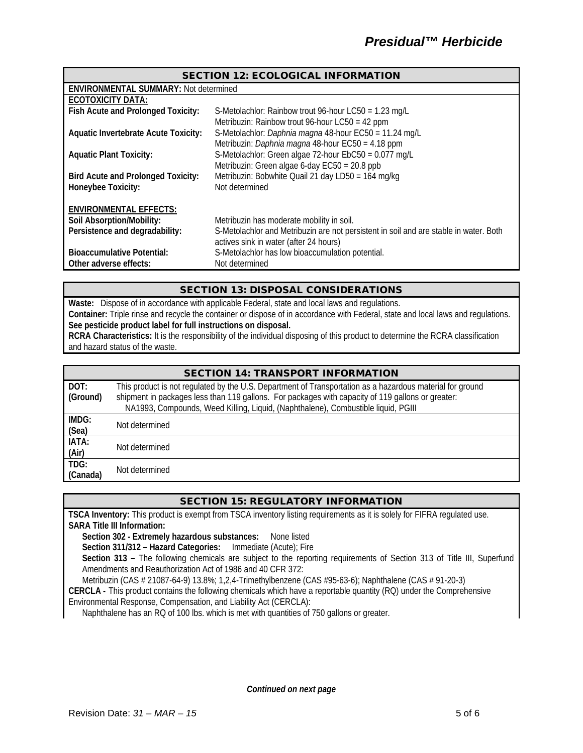| <b>SECTION 12: ECOLOGICAL INFORMATION</b>    |                                                                                       |  |  |  |
|----------------------------------------------|---------------------------------------------------------------------------------------|--|--|--|
| <b>ENVIRONMENTAL SUMMARY: Not determined</b> |                                                                                       |  |  |  |
| <b>ECOTOXICITY DATA:</b>                     |                                                                                       |  |  |  |
| Fish Acute and Prolonged Toxicity:           | S-Metolachlor: Rainbow trout 96-hour LC50 = 1.23 mg/L                                 |  |  |  |
|                                              | Metribuzin: Rainbow trout 96-hour LC50 = 42 ppm                                       |  |  |  |
| <b>Aquatic Invertebrate Acute Toxicity:</b>  | S-Metolachlor: Daphnia magna 48-hour EC50 = 11.24 mg/L                                |  |  |  |
|                                              | Metribuzin: Daphnia magna 48-hour EC50 = 4.18 ppm                                     |  |  |  |
| <b>Aquatic Plant Toxicity:</b>               | S-Metolachlor: Green algae 72-hour EbC50 = 0.077 mg/L                                 |  |  |  |
|                                              | Metribuzin: Green algae 6-day $EC50 = 20.8$ ppb                                       |  |  |  |
| <b>Bird Acute and Prolonged Toxicity:</b>    | Metribuzin: Bobwhite Quail 21 day LD50 = 164 mg/kg                                    |  |  |  |
| Honeybee Toxicity:                           | Not determined                                                                        |  |  |  |
|                                              |                                                                                       |  |  |  |
| <b>ENVIRONMENTAL EFFECTS:</b>                |                                                                                       |  |  |  |
| Soil Absorption/Mobility:                    | Metribuzin has moderate mobility in soil.                                             |  |  |  |
| Persistence and degradability:               | S-Metolachlor and Metribuzin are not persistent in soil and are stable in water. Both |  |  |  |
|                                              | actives sink in water (after 24 hours)                                                |  |  |  |
| <b>Bioaccumulative Potential:</b>            | S-Metolachlor has low bioaccumulation potential.                                      |  |  |  |
| Other adverse effects:                       | Not determined                                                                        |  |  |  |

### SECTION 13: DISPOSAL CONSIDERATIONS

**Waste:** Dispose of in accordance with applicable Federal, state and local laws and regulations. **Container:** Triple rinse and recycle the container or dispose of in accordance with Federal, state and local laws and regulations. **See pesticide product label for full instructions on disposal.**

**RCRA Characteristics:** It is the responsibility of the individual disposing of this product to determine the RCRA classification and hazard status of the waste.

| <b>SECTION 14: TRANSPORT INFORMATION</b> |                                                                                                                                                                                                                                                                                                     |  |  |
|------------------------------------------|-----------------------------------------------------------------------------------------------------------------------------------------------------------------------------------------------------------------------------------------------------------------------------------------------------|--|--|
| DOT:<br>(Ground)                         | This product is not regulated by the U.S. Department of Transportation as a hazardous material for ground<br>shipment in packages less than 119 gallons. For packages with capacity of 119 gallons or greater:<br>NA1993, Compounds, Weed Killing, Liquid, (Naphthalene), Combustible liquid, PGIII |  |  |
| IMDG:<br>(Sea)                           | Not determined                                                                                                                                                                                                                                                                                      |  |  |
| IATA:<br>(Air)                           | Not determined                                                                                                                                                                                                                                                                                      |  |  |
| TDG:<br>(Canada)                         | Not determined                                                                                                                                                                                                                                                                                      |  |  |

### SECTION 15: REGULATORY INFORMATION

**TSCA Inventory:** This product is exempt from TSCA inventory listing requirements as it is solely for FIFRA regulated use. **SARA Title III Information:**

**Section 302 - Extremely hazardous substances:** None listed

**Section 311/312 – Hazard Categories:** Immediate (Acute); Fire

**Section 313 –** The following chemicals are subject to the reporting requirements of Section 313 of Title III, Superfund Amendments and Reauthorization Act of 1986 and 40 CFR 372:

Metribuzin (CAS # 21087-64-9) 13.8%; 1,2,4-Trimethylbenzene (CAS #95-63-6); Naphthalene (CAS # 91-20-3)

**CERCLA -** This product contains the following chemicals which have a reportable quantity (RQ) under the Comprehensive Environmental Response, Compensation, and Liability Act (CERCLA):

Naphthalene has an RQ of 100 lbs. which is met with quantities of 750 gallons or greater.

*Continued on next page*